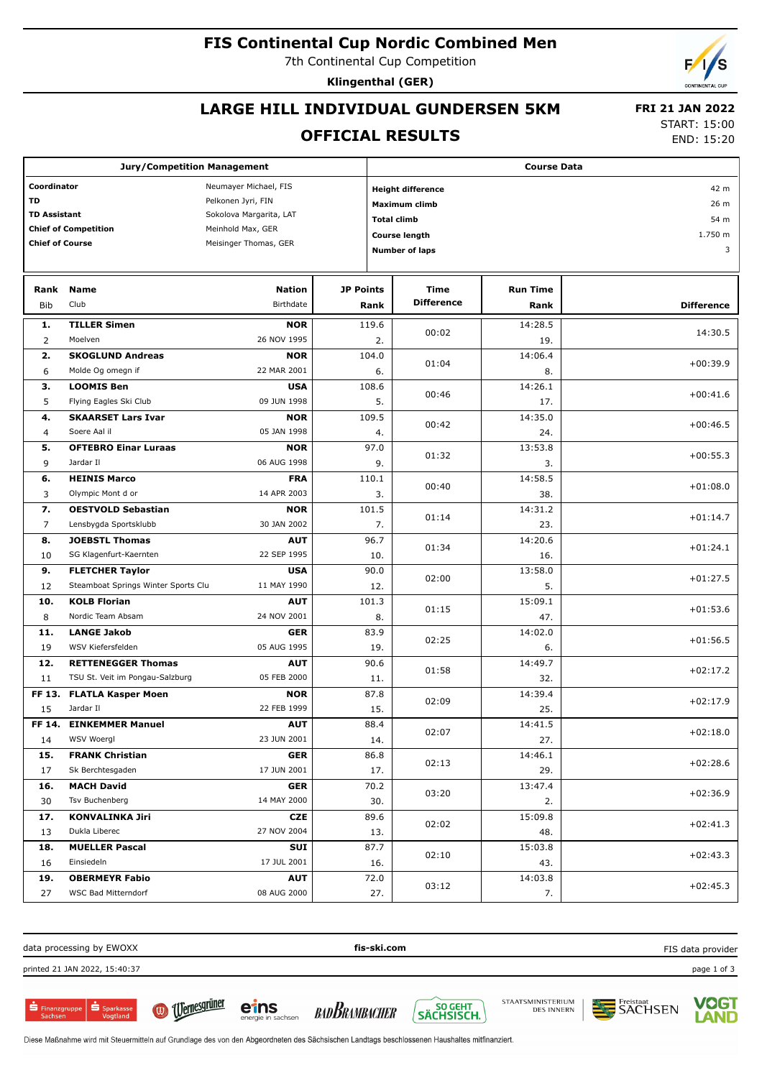## **FIS Continental Cup Nordic Combined Men**

7th Continental Cup Competition

**Klingenthal (GER)**

## **LARGE HILL INDIVIDUAL GUNDERSEN 5KM**

#### **OFFICIAL RESULTS**

 **FRI 21 JAN 2022** START: 15:00

END: 15:20

| <b>Jury/Competition Management</b>   |                                                |                       |                  | <b>Course Data</b>                 |                   |                 |                   |  |  |
|--------------------------------------|------------------------------------------------|-----------------------|------------------|------------------------------------|-------------------|-----------------|-------------------|--|--|
| Coordinator<br>Neumayer Michael, FIS |                                                |                       |                  | <b>Height difference</b><br>42 m   |                   |                 |                   |  |  |
| <b>TD</b><br>Pelkonen Jyri, FIN      |                                                |                       |                  | Maximum climb                      |                   |                 |                   |  |  |
|                                      | <b>TD Assistant</b><br>Sokolova Margarita, LAT |                       |                  | 26 m<br>54 m<br><b>Total climb</b> |                   |                 |                   |  |  |
|                                      | <b>Chief of Competition</b>                    | Meinhold Max, GER     |                  |                                    | Course length     |                 | 1.750 m           |  |  |
| <b>Chief of Course</b>               |                                                | Meisinger Thomas, GER |                  |                                    |                   |                 | 3                 |  |  |
|                                      |                                                |                       |                  | Number of laps                     |                   |                 |                   |  |  |
| Rank                                 | <b>Name</b>                                    | Nation                | <b>JP Points</b> |                                    | <b>Time</b>       | <b>Run Time</b> |                   |  |  |
| <b>Bib</b>                           | Club                                           | Birthdate             | Rank             |                                    | <b>Difference</b> | Rank            | <b>Difference</b> |  |  |
| 1.                                   | <b>TILLER Simen</b>                            | <b>NOR</b>            | 119.6            |                                    |                   | 14:28.5         |                   |  |  |
| 2                                    | Moelven                                        | 26 NOV 1995           |                  | 2.                                 | 00:02             | 19.             | 14:30.5           |  |  |
| 2.                                   | <b>SKOGLUND Andreas</b>                        | <b>NOR</b>            | 104.0            |                                    |                   | 14:06.4         |                   |  |  |
| 6                                    | Molde Og omegn if                              | 22 MAR 2001           |                  | 6.                                 | 01:04             | 8.              | $+00:39.9$        |  |  |
| 3.                                   | <b>LOOMIS Ben</b>                              | <b>USA</b>            | 108.6            |                                    |                   | 14:26.1         |                   |  |  |
| 5                                    | Flying Eagles Ski Club                         | 09 JUN 1998           |                  | 5.                                 | 00:46             | 17.             | $+00:41.6$        |  |  |
| 4.                                   | <b>SKAARSET Lars Ivar</b>                      | <b>NOR</b>            | 109.5            |                                    |                   | 14:35.0         |                   |  |  |
| $\overline{4}$                       | Soere Aal il                                   | 05 JAN 1998           |                  | 4.                                 | 00:42             | 24.             | $+00:46.5$        |  |  |
| 5.                                   | <b>OFTEBRO Einar Luraas</b>                    | <b>NOR</b>            |                  | 97.0                               |                   | 13:53.8         |                   |  |  |
| 9                                    | Jardar II                                      | 06 AUG 1998           |                  | 9.                                 | 01:32             | 3.              | $+00:55.3$        |  |  |
| 6.                                   | <b>HEINIS Marco</b>                            | <b>FRA</b>            | 110.1            |                                    |                   | 14:58.5         |                   |  |  |
| 3                                    | Olympic Mont d or                              | 14 APR 2003           |                  | 3.                                 | 00:40             | 38.             | $+01:08.0$        |  |  |
| 7.                                   | <b>OESTVOLD Sebastian</b>                      | <b>NOR</b>            | 101.5            |                                    |                   | 14:31.2         |                   |  |  |
| 7                                    | Lensbygda Sportsklubb                          | 30 JAN 2002           |                  | 7.                                 | 01:14             | 23.             | $+01:14.7$        |  |  |
| 8.                                   | <b>JOEBSTL Thomas</b>                          | <b>AUT</b>            |                  | 96.7                               |                   | 14:20.6         |                   |  |  |
| 10                                   | SG Klagenfurt-Kaernten                         | 22 SEP 1995           |                  | 01:34<br>10.                       |                   | 16.             | $+01:24.1$        |  |  |
| 9.                                   | <b>FLETCHER Taylor</b>                         | <b>USA</b>            |                  | 90.0                               |                   | 13:58.0         |                   |  |  |
| 12                                   | Steamboat Springs Winter Sports Clu            | 11 MAY 1990           |                  | 12.                                | 02:00             | 5.              | $+01:27.5$        |  |  |
| 10.                                  | <b>KOLB Florian</b>                            | <b>AUT</b>            | 101.3            |                                    | 01:15             | 15:09.1         | $+01:53.6$        |  |  |
| 8                                    | Nordic Team Absam                              | 24 NOV 2001           |                  | 8.                                 |                   | 47.             |                   |  |  |
| 11.                                  | <b>LANGE Jakob</b>                             | <b>GER</b>            |                  | 83.9                               | 02:25             | 14:02.0         | $+01:56.5$        |  |  |
| 19                                   | WSV Kiefersfelden                              | 05 AUG 1995           |                  | 19.                                |                   | 6.              |                   |  |  |
| 12.                                  | <b>RETTENEGGER Thomas</b>                      | <b>AUT</b>            |                  | 90.6                               | 01:58             | 14:49.7         | $+02:17.2$        |  |  |
| 11                                   | TSU St. Veit im Pongau-Salzburg                | 05 FEB 2000           |                  | 11.                                |                   | 32.             |                   |  |  |
|                                      | FF 13. FLATLA Kasper Moen                      | <b>NOR</b>            |                  | 87.8                               | 02:09             | 14:39.4         | $+02:17.9$        |  |  |
| 15                                   | Jardar II                                      | 22 FEB 1999           |                  | 15.                                |                   | 25.             |                   |  |  |
|                                      | FF 14. EINKEMMER Manuel                        | <b>AUT</b>            |                  | 88.4                               | 02:07             | 14:41.5         | $+02:18.0$        |  |  |
| 14                                   | WSV Woergl                                     | 23 JUN 2001           |                  | 14.                                |                   | 27.             |                   |  |  |
| 15.                                  | <b>FRANK Christian</b>                         | <b>GER</b>            |                  | 86.8                               | 02:13             | 14:46.1         | $+02:28.6$        |  |  |
| 17                                   | Sk Berchtesgaden                               | 17 JUN 2001           |                  | 17.                                |                   | 29.             |                   |  |  |
| 16.                                  | <b>MACH David</b>                              | <b>GER</b>            |                  | 70.2                               | 03:20             | 13:47.4         | $+02:36.9$        |  |  |
| 30                                   | Tsv Buchenberg                                 | 14 MAY 2000           |                  | 30.                                |                   | 2.              |                   |  |  |
| 17.                                  | <b>KONVALINKA Jiri</b>                         | <b>CZE</b>            |                  | 89.6<br>02:02                      |                   | 15:09.8         | $+02:41.3$        |  |  |
| 13                                   | Dukla Liberec                                  | 27 NOV 2004           |                  | 13.                                |                   | 48.             |                   |  |  |
| 18.                                  | <b>MUELLER Pascal</b>                          | <b>SUI</b>            |                  | 87.7                               | 02:10             | 15:03.8         | $+02:43.3$        |  |  |
| 16                                   | Einsiedeln                                     | 17 JUL 2001           |                  | 16.                                |                   | 43.             |                   |  |  |
| 19.                                  | <b>OBERMEYR Fabio</b>                          | <b>AUT</b>            |                  | 72.0                               | 03:12             | 14:03.8         | $+02:45.3$        |  |  |
| 27                                   | WSC Bad Mitterndorf                            | 08 AUG 2000           |                  | 27.                                |                   | 7.              |                   |  |  |
|                                      |                                                |                       |                  |                                    |                   |                 |                   |  |  |

data processing by EWOXX **fis-ski.com** printed 21 JAN 2022, 15:40:37 page 1 of 3 FIS data provider

 $S<sub>parka</sub>$  $\sum_{\substack{\text{Sachson}\n\text{Sachson}}}$ 



eins **BAD BRAMBACHER** 







Diese Maßnahme wird mit Steuermitteln auf Grundlage des von den Abgeordneten des Sächsischen Landtags beschlossenen Haushaltes mitfinanziert.

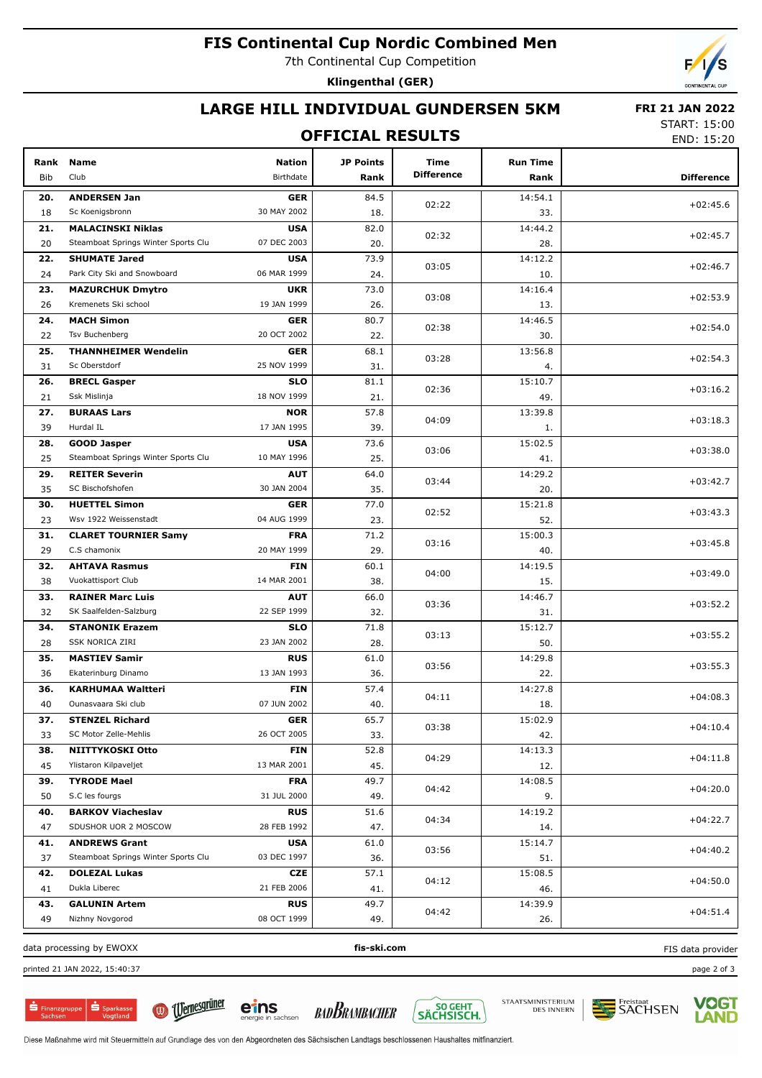## **FIS Continental Cup Nordic Combined Men**

7th Continental Cup Competition

**Klingenthal (GER)**

# **LARGE HILL INDIVIDUAL GUNDERSEN 5KM**

#### **FRI 21 JAN 2022**

### **OFFICIAL RESULTS**

START: 15:00 END: 15:20

| Rank<br><b>Bib</b> | <b>Name</b><br>Club                 | <b>Nation</b><br>Birthdate | <b>JP Points</b><br>Rank | Time<br><b>Difference</b> | <b>Run Time</b><br>Rank | <b>Difference</b> |
|--------------------|-------------------------------------|----------------------------|--------------------------|---------------------------|-------------------------|-------------------|
| 20.                | <b>ANDERSEN Jan</b>                 | <b>GER</b>                 | 84.5                     |                           | 14:54.1                 |                   |
| 18                 | Sc Koenigsbronn                     | 30 MAY 2002                | 18.                      | 02:22                     | 33.                     | $+02:45.6$        |
| 21.                | <b>MALACINSKI Niklas</b>            | <b>USA</b>                 | 82.0                     |                           | 14:44.2                 |                   |
| 20                 | Steamboat Springs Winter Sports Clu | 07 DEC 2003                | 20.                      | 02:32                     | 28.                     | $+02:45.7$        |
| 22.                | <b>SHUMATE Jared</b>                | <b>USA</b>                 | 73.9                     |                           | 14:12.2                 |                   |
| 24                 | Park City Ski and Snowboard         | 06 MAR 1999                | 24.                      | 03:05                     | 10.                     | $+02:46.7$        |
| 23.                | <b>MAZURCHUK Dmytro</b>             | <b>UKR</b>                 | 73.0                     |                           | 14:16.4                 |                   |
| 26                 | Kremenets Ski school                | 19 JAN 1999                | 26.                      | 03:08                     | 13.                     | $+02:53.9$        |
| 24.                | <b>MACH Simon</b>                   | <b>GER</b>                 | 80.7                     |                           | 14:46.5                 |                   |
| 22                 | <b>Tsv Buchenberg</b>               | 20 OCT 2002                | 22.                      | 02:38                     | 30.                     | $+02:54.0$        |
| 25.                | <b>THANNHEIMER Wendelin</b>         | <b>GER</b>                 | 68.1                     |                           | 13:56.8                 |                   |
| 31                 | Sc Oberstdorf                       | 25 NOV 1999                | 31.                      | 03:28                     | 4.                      | $+02:54.3$        |
| 26.                | <b>BRECL Gasper</b>                 | <b>SLO</b>                 | 81.1                     |                           | 15:10.7                 |                   |
| 21                 | Ssk Mislinja                        | 18 NOV 1999                | 21.                      | 02:36                     | 49.                     | $+03:16.2$        |
| 27.                | <b>BURAAS Lars</b>                  | <b>NOR</b>                 | 57.8                     |                           | 13:39.8                 |                   |
| 39                 | Hurdal IL                           | 17 JAN 1995                | 39.                      | 04:09                     | 1.                      | $+03:18.3$        |
| 28.                | <b>GOOD Jasper</b>                  | <b>USA</b>                 | 73.6                     |                           | 15:02.5                 |                   |
| 25                 | Steamboat Springs Winter Sports Clu | 10 MAY 1996                | 25.                      | 03:06                     | 41.                     | $+03:38.0$        |
| 29.                | <b>REITER Severin</b>               | <b>AUT</b>                 | 64.0                     |                           | 14:29.2                 |                   |
| 35                 | SC Bischofshofen                    | 30 JAN 2004                | 35.                      | 03:44                     | 20.                     | $+03:42.7$        |
| 30.                | <b>HUETTEL Simon</b>                | <b>GER</b>                 | 77.0                     |                           | 15:21.8                 |                   |
| 23                 | Wsv 1922 Weissenstadt               | 04 AUG 1999                | 23.                      | 02:52                     | 52.                     | $+03:43.3$        |
| 31.                | <b>CLARET TOURNIER Samy</b>         | <b>FRA</b>                 | 71.2                     |                           | 15:00.3                 |                   |
| 29                 | C.S chamonix                        | 20 MAY 1999                | 29.                      | 03:16                     | 40.                     | $+03:45.8$        |
| 32.                | <b>AHTAVA Rasmus</b>                | <b>FIN</b>                 | 60.1                     |                           | 14:19.5                 |                   |
| 38                 | Vuokattisport Club                  | 14 MAR 2001                | 38.                      | 04:00                     | 15.                     | $+03:49.0$        |
| 33.                | <b>RAINER Marc Luis</b>             | <b>AUT</b>                 | 66.0                     |                           | 14:46.7                 |                   |
| 32                 | SK Saalfelden-Salzburg              | 22 SEP 1999                | 32.                      | 03:36                     | 31.                     | $+03:52.2$        |
| 34.                | <b>STANONIK Erazem</b>              | <b>SLO</b>                 | 71.8                     |                           | 15:12.7                 |                   |
| 28                 | <b>SSK NORICA ZIRI</b>              | 23 JAN 2002                | 28.                      | 03:13                     | 50.                     | $+03:55.2$        |
| 35.                | <b>MASTIEV Samir</b>                | <b>RUS</b>                 | 61.0                     |                           | 14:29.8                 |                   |
| 36                 | Ekaterinburg Dinamo                 | 13 JAN 1993                | 36.                      | 03:56                     | 22.                     | $+03:55.3$        |
| 36.                | <b>KARHUMAA Waltteri</b>            | <b>FIN</b>                 | 57.4                     |                           | 14:27.8                 |                   |
| 40                 | Ounasyaara Ski club                 | 07 JUN 2002                | 40.                      | 04:11                     | 18.                     | $+04:08.3$        |
| 37.                | <b>STENZEL Richard</b>              | GER                        | 65.7                     |                           | 15:02.9                 |                   |
| 33                 | SC Motor Zelle-Mehlis               | 26 OCT 2005                | 33.                      | 03:38                     | 42.                     | $+04:10.4$        |
| 38.                | NIITTYKOSKI Otto                    | <b>FIN</b>                 | 52.8                     |                           | 14:13.3                 |                   |
| 45                 | Ylistaron Kilpaveljet               | 13 MAR 2001                | 45.                      | 04:29                     | 12.                     | $+04:11.8$        |
| 39.                | <b>TYRODE Mael</b>                  | <b>FRA</b>                 | 49.7                     |                           | 14:08.5                 |                   |
| 50                 | S.C les fourgs                      | 31 JUL 2000                | 49.                      | 04:42                     | 9.                      | $+04:20.0$        |
| 40.                | <b>BARKOV Viacheslav</b>            | <b>RUS</b>                 | 51.6                     |                           | 14:19.2                 |                   |
| 47                 | SDUSHOR UOR 2 MOSCOW                | 28 FEB 1992                | 47.                      | 04:34                     | 14.                     | $+04:22.7$        |
| 41.                | <b>ANDREWS Grant</b>                | <b>USA</b>                 | 61.0                     |                           | 15:14.7                 |                   |
| 37                 | Steamboat Springs Winter Sports Clu | 03 DEC 1997                | 36.                      | 03:56                     | 51.                     | $+04:40.2$        |
| 42.                | <b>DOLEZAL Lukas</b>                | <b>CZE</b>                 | 57.1                     |                           | 15:08.5                 |                   |
| 41                 | Dukla Liberec                       | 21 FEB 2006                | 41.                      | 04:12                     | 46.                     | $+04:50.0$        |
| 43.                | <b>GALUNIN Artem</b>                | <b>RUS</b>                 | 49.7                     |                           | 14:39.9                 |                   |
| 49                 | Nizhny Novgorod                     | 08 OCT 1999                | 49.                      | 04:42                     | 26.                     | $+04:51.4$        |
|                    | data processing by EWOXX            |                            | fis-ski.com              |                           |                         | FIS data provider |

printed 21 JAN 2022, 15:40:37 page 2 of 3





eins BADBRAMBACHER